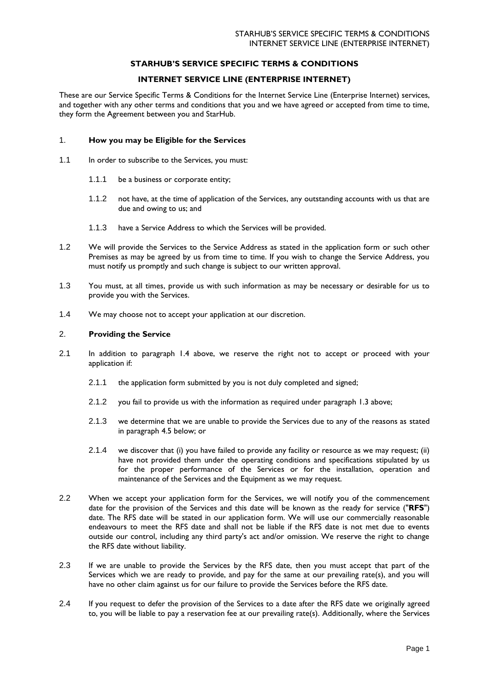# **STARHUB'S SERVICE SPECIFIC TERMS & CONDITIONS**

# **INTERNET SERVICE LINE (ENTERPRISE INTERNET)**

These are our Service Specific Terms & Conditions for the Internet Service Line (Enterprise Internet) services, and together with any other terms and conditions that you and we have agreed or accepted from time to time, they form the Agreement between you and StarHub.

## 1. **How you may be Eligible for the Services**

- 1.1 In order to subscribe to the Services, you must:
	- 1.1.1 be a business or corporate entity;
	- 1.1.2 not have, at the time of application of the Services, any outstanding accounts with us that are due and owing to us; and
	- 1.1.3 have a Service Address to which the Services will be provided.
- 1.2 We will provide the Services to the Service Address as stated in the application form or such other Premises as may be agreed by us from time to time. If you wish to change the Service Address, you must notify us promptly and such change is subject to our written approval.
- 1.3 You must, at all times, provide us with such information as may be necessary or desirable for us to provide you with the Services.
- 1.4 We may choose not to accept your application at our discretion.

#### 2. **Providing the Service**

- 2.1 In addition to paragraph 1.4 above, we reserve the right not to accept or proceed with your application if:
	- 2.1.1 the application form submitted by you is not duly completed and signed;
	- 2.1.2 you fail to provide us with the information as required under paragraph 1.3 above;
	- 2.1.3 we determine that we are unable to provide the Services due to any of the reasons as stated in paragraph 4.5 below; or
	- 2.1.4 we discover that (i) you have failed to provide any facility or resource as we may request; (ii) have not provided them under the operating conditions and specifications stipulated by us for the proper performance of the Services or for the installation, operation and maintenance of the Services and the Equipment as we may request.
- 2.2 When we accept your application form for the Services, we will notify you of the commencement date for the provision of the Services and this date will be known as the ready for service ("**RFS**") date. The RFS date will be stated in our application form. We will use our commercially reasonable endeavours to meet the RFS date and shall not be liable if the RFS date is not met due to events outside our control, including any third party's act and/or omission. We reserve the right to change the RFS date without liability.
- 2.3 If we are unable to provide the Services by the RFS date, then you must accept that part of the Services which we are ready to provide, and pay for the same at our prevailing rate(s), and you will have no other claim against us for our failure to provide the Services before the RFS date.
- 2.4 If you request to defer the provision of the Services to a date after the RFS date we originally agreed to, you will be liable to pay a reservation fee at our prevailing rate(s). Additionally, where the Services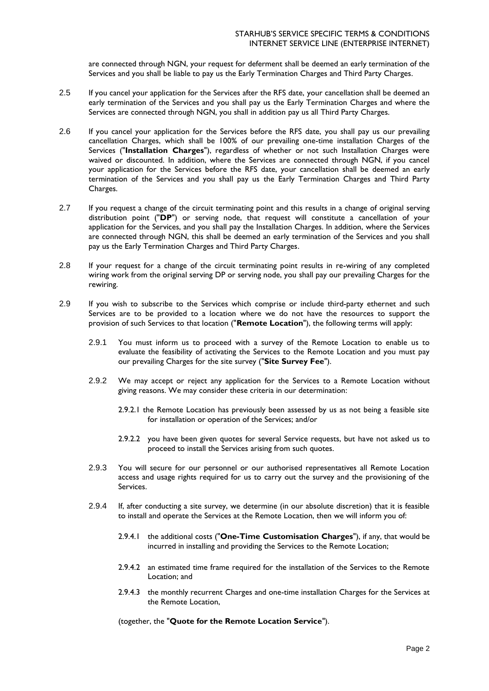are connected through NGN, your request for deferment shall be deemed an early termination of the Services and you shall be liable to pay us the Early Termination Charges and Third Party Charges.

- 2.5 If you cancel your application for the Services after the RFS date, your cancellation shall be deemed an early termination of the Services and you shall pay us the Early Termination Charges and where the Services are connected through NGN, you shall in addition pay us all Third Party Charges.
- 2.6 If you cancel your application for the Services before the RFS date, you shall pay us our prevailing cancellation Charges, which shall be 100% of our prevailing one-time installation Charges of the Services ("**Installation Charges**"), regardless of whether or not such Installation Charges were waived or discounted. In addition, where the Services are connected through NGN, if you cancel your application for the Services before the RFS date, your cancellation shall be deemed an early termination of the Services and you shall pay us the Early Termination Charges and Third Party Charges.
- 2.7 If you request a change of the circuit terminating point and this results in a change of original serving distribution point ("**DP**") or serving node, that request will constitute a cancellation of your application for the Services, and you shall pay the Installation Charges. In addition, where the Services are connected through NGN, this shall be deemed an early termination of the Services and you shall pay us the Early Termination Charges and Third Party Charges.
- 2.8 If your request for a change of the circuit terminating point results in re-wiring of any completed wiring work from the original serving DP or serving node, you shall pay our prevailing Charges for the rewiring.
- 2.9 If you wish to subscribe to the Services which comprise or include third-party ethernet and such Services are to be provided to a location where we do not have the resources to support the provision of such Services to that location ("**Remote Location**"), the following terms will apply:
	- 2.9.1 You must inform us to proceed with a survey of the Remote Location to enable us to evaluate the feasibility of activating the Services to the Remote Location and you must pay our prevailing Charges for the site survey ("**Site Survey Fee**").
	- 2.9.2 We may accept or reject any application for the Services to a Remote Location without giving reasons. We may consider these criteria in our determination:
		- 2.9.2.1 the Remote Location has previously been assessed by us as not being a feasible site for installation or operation of the Services; and/or
		- 2.9.2.2 you have been given quotes for several Service requests, but have not asked us to proceed to install the Services arising from such quotes.
	- 2.9.3 You will secure for our personnel or our authorised representatives all Remote Location access and usage rights required for us to carry out the survey and the provisioning of the Services.
	- 2.9.4 If, after conducting a site survey, we determine (in our absolute discretion) that it is feasible to install and operate the Services at the Remote Location, then we will inform you of:
		- 2.9.4.1 the additional costs ("**One-Time Customisation Charges**"), if any, that would be incurred in installing and providing the Services to the Remote Location;
		- 2.9.4.2 an estimated time frame required for the installation of the Services to the Remote Location; and
		- 2.9.4.3 the monthly recurrent Charges and one-time installation Charges for the Services at the Remote Location,

(together, the "**Quote for the Remote Location Service**").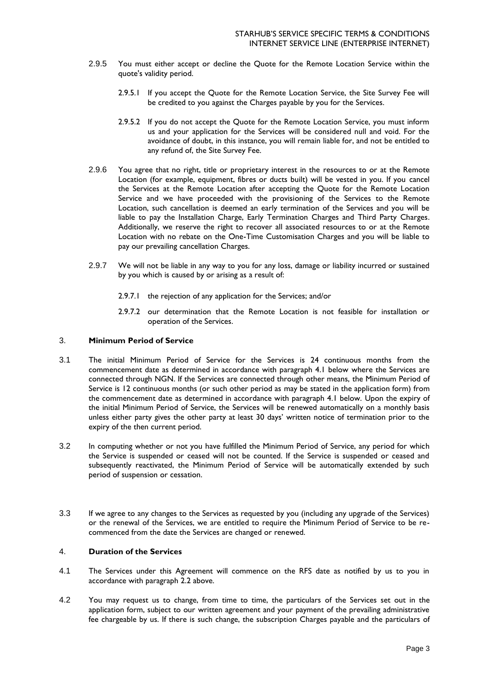- 2.9.5 You must either accept or decline the Quote for the Remote Location Service within the quote's validity period.
	- 2.9.5.1 If you accept the Quote for the Remote Location Service, the Site Survey Fee will be credited to you against the Charges payable by you for the Services.
	- 2.9.5.2 If you do not accept the Quote for the Remote Location Service, you must inform us and your application for the Services will be considered null and void. For the avoidance of doubt, in this instance, you will remain liable for, and not be entitled to any refund of, the Site Survey Fee.
- 2.9.6 You agree that no right, title or proprietary interest in the resources to or at the Remote Location (for example, equipment, fibres or ducts built) will be vested in you. If you cancel the Services at the Remote Location after accepting the Quote for the Remote Location Service and we have proceeded with the provisioning of the Services to the Remote Location, such cancellation is deemed an early termination of the Services and you will be liable to pay the Installation Charge, Early Termination Charges and Third Party Charges. Additionally, we reserve the right to recover all associated resources to or at the Remote Location with no rebate on the One-Time Customisation Charges and you will be liable to pay our prevailing cancellation Charges.
- 2.9.7 We will not be liable in any way to you for any loss, damage or liability incurred or sustained by you which is caused by or arising as a result of:
	- 2.9.7.1 the rejection of any application for the Services; and/or
	- 2.9.7.2 our determination that the Remote Location is not feasible for installation or operation of the Services.

# 3. **Minimum Period of Service**

- 3.1 The initial Minimum Period of Service for the Services is 24 continuous months from the commencement date as determined in accordance with paragraph 4.1 below where the Services are connected through NGN. If the Services are connected through other means, the Minimum Period of Service is 12 continuous months (or such other period as may be stated in the application form) from the commencement date as determined in accordance with paragraph 4.1 below. Upon the expiry of the initial Minimum Period of Service, the Services will be renewed automatically on a monthly basis unless either party gives the other party at least 30 days' written notice of termination prior to the expiry of the then current period.
- 3.2 In computing whether or not you have fulfilled the Minimum Period of Service, any period for which the Service is suspended or ceased will not be counted. If the Service is suspended or ceased and subsequently reactivated, the Minimum Period of Service will be automatically extended by such period of suspension or cessation.
- 3.3 If we agree to any changes to the Services as requested by you (including any upgrade of the Services) or the renewal of the Services, we are entitled to require the Minimum Period of Service to be recommenced from the date the Services are changed or renewed.

# 4. **Duration of the Services**

- 4.1 The Services under this Agreement will commence on the RFS date as notified by us to you in accordance with paragraph 2.2 above.
- 4.2 You may request us to change, from time to time, the particulars of the Services set out in the application form, subject to our written agreement and your payment of the prevailing administrative fee chargeable by us. If there is such change, the subscription Charges payable and the particulars of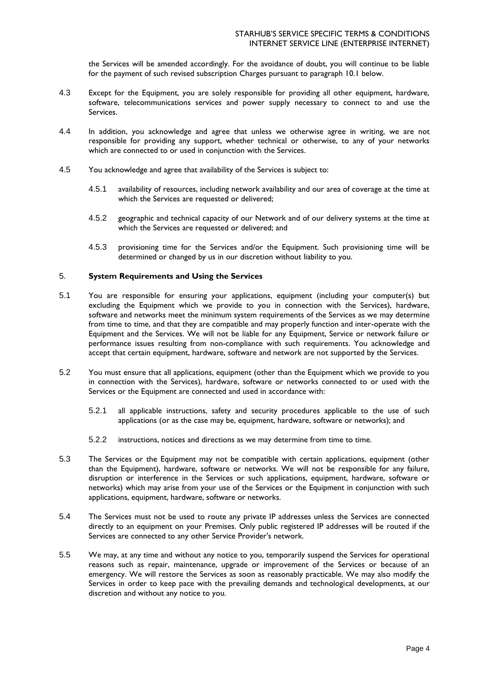the Services will be amended accordingly. For the avoidance of doubt, you will continue to be liable for the payment of such revised subscription Charges pursuant to paragraph 10.1 below.

- 4.3 Except for the Equipment, you are solely responsible for providing all other equipment, hardware, software, telecommunications services and power supply necessary to connect to and use the Services.
- 4.4 In addition, you acknowledge and agree that unless we otherwise agree in writing, we are not responsible for providing any support, whether technical or otherwise, to any of your networks which are connected to or used in conjunction with the Services.
- 4.5 You acknowledge and agree that availability of the Services is subject to:
	- 4.5.1 availability of resources, including network availability and our area of coverage at the time at which the Services are requested or delivered;
	- 4.5.2 geographic and technical capacity of our Network and of our delivery systems at the time at which the Services are requested or delivered; and
	- 4.5.3 provisioning time for the Services and/or the Equipment. Such provisioning time will be determined or changed by us in our discretion without liability to you.

# 5. **System Requirements and Using the Services**

- 5.1 You are responsible for ensuring your applications, equipment (including your computer(s) but excluding the Equipment which we provide to you in connection with the Services), hardware, software and networks meet the minimum system requirements of the Services as we may determine from time to time, and that they are compatible and may properly function and inter-operate with the Equipment and the Services. We will not be liable for any Equipment, Service or network failure or performance issues resulting from non-compliance with such requirements. You acknowledge and accept that certain equipment, hardware, software and network are not supported by the Services.
- 5.2 You must ensure that all applications, equipment (other than the Equipment which we provide to you in connection with the Services), hardware, software or networks connected to or used with the Services or the Equipment are connected and used in accordance with:
	- 5.2.1 all applicable instructions, safety and security procedures applicable to the use of such applications (or as the case may be, equipment, hardware, software or networks); and
	- 5.2.2 instructions, notices and directions as we may determine from time to time.
- 5.3 The Services or the Equipment may not be compatible with certain applications, equipment (other than the Equipment), hardware, software or networks. We will not be responsible for any failure, disruption or interference in the Services or such applications, equipment, hardware, software or networks) which may arise from your use of the Services or the Equipment in conjunction with such applications, equipment, hardware, software or networks.
- 5.4 The Services must not be used to route any private IP addresses unless the Services are connected directly to an equipment on your Premises. Only public registered IP addresses will be routed if the Services are connected to any other Service Provider's network.
- 5.5 We may, at any time and without any notice to you, temporarily suspend the Services for operational reasons such as repair, maintenance, upgrade or improvement of the Services or because of an emergency. We will restore the Services as soon as reasonably practicable. We may also modify the Services in order to keep pace with the prevailing demands and technological developments, at our discretion and without any notice to you.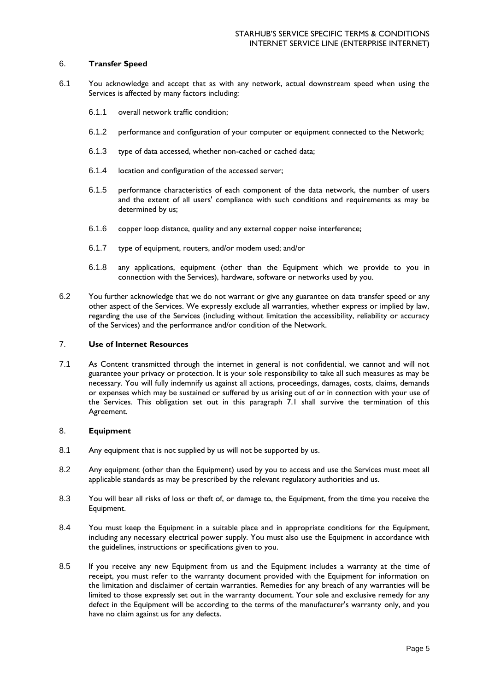# 6. **Transfer Speed**

- 6.1 You acknowledge and accept that as with any network, actual downstream speed when using the Services is affected by many factors including:
	- 6.1.1 overall network traffic condition;
	- 6.1.2 performance and configuration of your computer or equipment connected to the Network;
	- 6.1.3 type of data accessed, whether non-cached or cached data;
	- 6.1.4 location and configuration of the accessed server;
	- 6.1.5 performance characteristics of each component of the data network, the number of users and the extent of all users' compliance with such conditions and requirements as may be determined by us;
	- 6.1.6 copper loop distance, quality and any external copper noise interference;
	- 6.1.7 type of equipment, routers, and/or modem used; and/or
	- 6.1.8 any applications, equipment (other than the Equipment which we provide to you in connection with the Services), hardware, software or networks used by you.
- 6.2 You further acknowledge that we do not warrant or give any guarantee on data transfer speed or any other aspect of the Services. We expressly exclude all warranties, whether express or implied by law, regarding the use of the Services (including without limitation the accessibility, reliability or accuracy of the Services) and the performance and/or condition of the Network.

### 7. **Use of Internet Resources**

7.1 As Content transmitted through the internet in general is not confidential, we cannot and will not guarantee your privacy or protection. It is your sole responsibility to take all such measures as may be necessary. You will fully indemnify us against all actions, proceedings, damages, costs, claims, demands or expenses which may be sustained or suffered by us arising out of or in connection with your use of the Services. This obligation set out in this paragraph 7.1 shall survive the termination of this Agreement.

### 8. **Equipment**

- 8.1 Any equipment that is not supplied by us will not be supported by us.
- 8.2 Any equipment (other than the Equipment) used by you to access and use the Services must meet all applicable standards as may be prescribed by the relevant regulatory authorities and us.
- 8.3 You will bear all risks of loss or theft of, or damage to, the Equipment, from the time you receive the Equipment.
- 8.4 You must keep the Equipment in a suitable place and in appropriate conditions for the Equipment, including any necessary electrical power supply. You must also use the Equipment in accordance with the guidelines, instructions or specifications given to you.
- 8.5 If you receive any new Equipment from us and the Equipment includes a warranty at the time of receipt, you must refer to the warranty document provided with the Equipment for information on the limitation and disclaimer of certain warranties. Remedies for any breach of any warranties will be limited to those expressly set out in the warranty document. Your sole and exclusive remedy for any defect in the Equipment will be according to the terms of the manufacturer's warranty only, and you have no claim against us for any defects.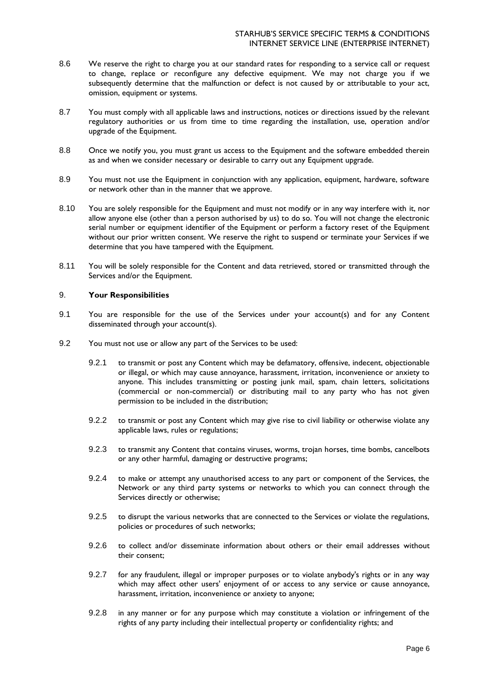- 8.6 We reserve the right to charge you at our standard rates for responding to a service call or request to change, replace or reconfigure any defective equipment. We may not charge you if we subsequently determine that the malfunction or defect is not caused by or attributable to your act, omission, equipment or systems.
- 8.7 You must comply with all applicable laws and instructions, notices or directions issued by the relevant regulatory authorities or us from time to time regarding the installation, use, operation and/or upgrade of the Equipment.
- 8.8 Once we notify you, you must grant us access to the Equipment and the software embedded therein as and when we consider necessary or desirable to carry out any Equipment upgrade.
- 8.9 You must not use the Equipment in conjunction with any application, equipment, hardware, software or network other than in the manner that we approve.
- 8.10 You are solely responsible for the Equipment and must not modify or in any way interfere with it, nor allow anyone else (other than a person authorised by us) to do so. You will not change the electronic serial number or equipment identifier of the Equipment or perform a factory reset of the Equipment without our prior written consent. We reserve the right to suspend or terminate your Services if we determine that you have tampered with the Equipment.
- 8.11 You will be solely responsible for the Content and data retrieved, stored or transmitted through the Services and/or the Equipment.

## 9. **Your Responsibilities**

- 9.1 You are responsible for the use of the Services under your account(s) and for any Content disseminated through your account(s).
- 9.2 You must not use or allow any part of the Services to be used:
	- 9.2.1 to transmit or post any Content which may be defamatory, offensive, indecent, objectionable or illegal, or which may cause annoyance, harassment, irritation, inconvenience or anxiety to anyone. This includes transmitting or posting junk mail, spam, chain letters, solicitations (commercial or non-commercial) or distributing mail to any party who has not given permission to be included in the distribution;
	- 9.2.2 to transmit or post any Content which may give rise to civil liability or otherwise violate any applicable laws, rules or regulations;
	- 9.2.3 to transmit any Content that contains viruses, worms, trojan horses, time bombs, cancelbots or any other harmful, damaging or destructive programs;
	- 9.2.4 to make or attempt any unauthorised access to any part or component of the Services, the Network or any third party systems or networks to which you can connect through the Services directly or otherwise;
	- 9.2.5 to disrupt the various networks that are connected to the Services or violate the regulations, policies or procedures of such networks;
	- 9.2.6 to collect and/or disseminate information about others or their email addresses without their consent;
	- 9.2.7 for any fraudulent, illegal or improper purposes or to violate anybody's rights or in any way which may affect other users' enjoyment of or access to any service or cause annoyance, harassment, irritation, inconvenience or anxiety to anyone;
	- 9.2.8 in any manner or for any purpose which may constitute a violation or infringement of the rights of any party including their intellectual property or confidentiality rights; and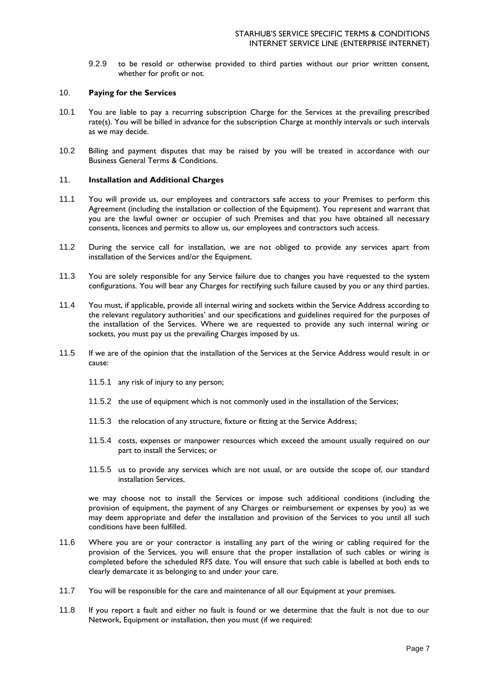9.2.9 to be resold or otherwise provided to third parties without our prior written consent, whether for profit or not.

### 10. **Paying for the Services**

- 10.1 You are liable to pay a recurring subscription Charge for the Services at the prevailing prescribed rate(s). You will be billed in advance for the subscription Charge at monthly intervals or such intervals as we may decide.
- 10.2 Billing and payment disputes that may be raised by you will be treated in accordance with our Business General Terms & Conditions.

### 11. **Installation and Additional Charges**

- 11.1 You will provide us, our employees and contractors safe access to your Premises to perform this Agreement (including the installation or collection of the Equipment). You represent and warrant that you are the lawful owner or occupier of such Premises and that you have obtained all necessary consents, licences and permits to allow us, our employees and contractors such access.
- 11.2 During the service call for installation, we are not obliged to provide any services apart from installation of the Services and/or the Equipment.
- 11.3 You are solely responsible for any Service failure due to changes you have requested to the system configurations. You will bear any Charges for rectifying such failure caused by you or any third parties.
- 11.4 You must, if applicable, provide all internal wiring and sockets within the Service Address according to the relevant regulatory authorities' and our specifications and guidelines required for the purposes of the installation of the Services. Where we are requested to provide any such internal wiring or sockets, you must pay us the prevailing Charges imposed by us.
- 11.5 If we are of the opinion that the installation of the Services at the Service Address would result in or cause:
	- 11.5.1 any risk of injury to any person;
	- 11.5.2 the use of equipment which is not commonly used in the installation of the Services;
	- 11.5.3 the relocation of any structure, fixture or fitting at the Service Address;
	- 11.5.4 costs, expenses or manpower resources which exceed the amount usually required on our part to install the Services; or
	- 11.5.5 us to provide any services which are not usual, or are outside the scope of, our standard installation Services,

we may choose not to install the Services or impose such additional conditions (including the provision of equipment, the payment of any Charges or reimbursement or expenses by you) as we may deem appropriate and defer the installation and provision of the Services to you until all such conditions have been fulfilled.

- 11.6 Where you are or your contractor is installing any part of the wiring or cabling required for the provision of the Services, you will ensure that the proper installation of such cables or wiring is completed before the scheduled RFS date. You will ensure that such cable is labelled at both ends to clearly demarcate it as belonging to and under your care.
- 11.7 You will be responsible for the care and maintenance of all our Equipment at your premises.
- 11.8 If you report a fault and either no fault is found or we determine that the fault is not due to our Network, Equipment or installation, then you must (if we required: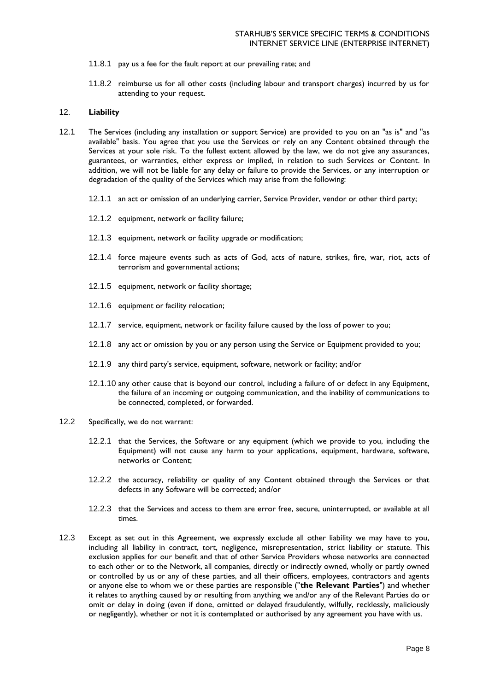- 11.8.1 pay us a fee for the fault report at our prevailing rate; and
- 11.8.2 reimburse us for all other costs (including labour and transport charges) incurred by us for attending to your request.

# 12. **Liability**

- 12.1 The Services (including any installation or support Service) are provided to you on an "as is" and "as available" basis. You agree that you use the Services or rely on any Content obtained through the Services at your sole risk. To the fullest extent allowed by the law, we do not give any assurances, guarantees, or warranties, either express or implied, in relation to such Services or Content. In addition, we will not be liable for any delay or failure to provide the Services, or any interruption or degradation of the quality of the Services which may arise from the following:
	- 12.1.1 an act or omission of an underlying carrier, Service Provider, vendor or other third party;
	- 12.1.2 equipment, network or facility failure;
	- 12.1.3 equipment, network or facility upgrade or modification;
	- 12.1.4 force majeure events such as acts of God, acts of nature, strikes, fire, war, riot, acts of terrorism and governmental actions;
	- 12.1.5 equipment, network or facility shortage;
	- 12.1.6 equipment or facility relocation;
	- 12.1.7 service, equipment, network or facility failure caused by the loss of power to you;
	- 12.1.8 any act or omission by you or any person using the Service or Equipment provided to you;
	- 12.1.9 any third party's service, equipment, software, network or facility; and/or
	- 12.1.10 any other cause that is beyond our control, including a failure of or defect in any Equipment, the failure of an incoming or outgoing communication, and the inability of communications to be connected, completed, or forwarded.
- 12.2 Specifically, we do not warrant:
	- 12.2.1 that the Services, the Software or any equipment (which we provide to you, including the Equipment) will not cause any harm to your applications, equipment, hardware, software, networks or Content;
	- 12.2.2 the accuracy, reliability or quality of any Content obtained through the Services or that defects in any Software will be corrected; and/or
	- 12.2.3 that the Services and access to them are error free, secure, uninterrupted, or available at all times.
- 12.3 Except as set out in this Agreement, we expressly exclude all other liability we may have to you, including all liability in contract, tort, negligence, misrepresentation, strict liability or statute. This exclusion applies for our benefit and that of other Service Providers whose networks are connected to each other or to the Network, all companies, directly or indirectly owned, wholly or partly owned or controlled by us or any of these parties, and all their officers, employees, contractors and agents or anyone else to whom we or these parties are responsible ("**the Relevant Parties**") and whether it relates to anything caused by or resulting from anything we and/or any of the Relevant Parties do or omit or delay in doing (even if done, omitted or delayed fraudulently, wilfully, recklessly, maliciously or negligently), whether or not it is contemplated or authorised by any agreement you have with us.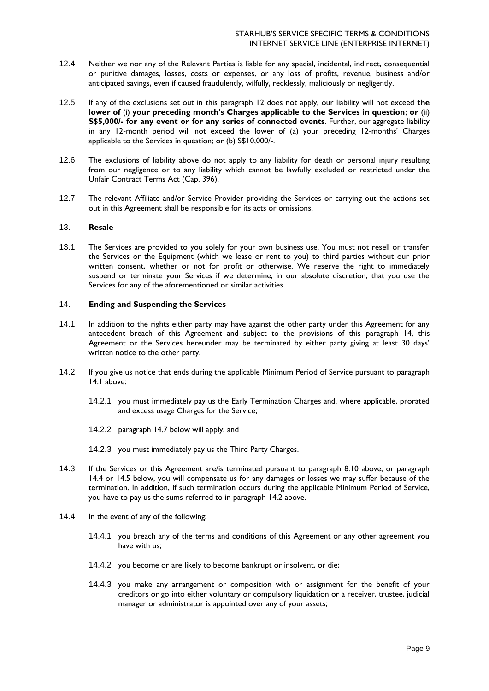- 12.4 Neither we nor any of the Relevant Parties is liable for any special, incidental, indirect, consequential or punitive damages, losses, costs or expenses, or any loss of profits, revenue, business and/or anticipated savings, even if caused fraudulently, wilfully, recklessly, maliciously or negligently.
- 12.5 If any of the exclusions set out in this paragraph 12 does not apply, our liability will not exceed **the lower of** (i) **your preceding month's Charges applicable to the Services in question**; **or** (ii) **S\$5,000/- for any event or for any series of connected events**. Further, our aggregate liability in any 12-month period will not exceed the lower of (a) your preceding 12-months' Charges applicable to the Services in question; or (b) S\$10,000/-.
- 12.6 The exclusions of liability above do not apply to any liability for death or personal injury resulting from our negligence or to any liability which cannot be lawfully excluded or restricted under the Unfair Contract Terms Act (Cap. 396).
- 12.7 The relevant Affiliate and/or Service Provider providing the Services or carrying out the actions set out in this Agreement shall be responsible for its acts or omissions.

### 13. **Resale**

13.1 The Services are provided to you solely for your own business use. You must not resell or transfer the Services or the Equipment (which we lease or rent to you) to third parties without our prior written consent, whether or not for profit or otherwise. We reserve the right to immediately suspend or terminate your Services if we determine, in our absolute discretion, that you use the Services for any of the aforementioned or similar activities.

### 14. **Ending and Suspending the Services**

- 14.1 In addition to the rights either party may have against the other party under this Agreement for any antecedent breach of this Agreement and subject to the provisions of this paragraph 14, this Agreement or the Services hereunder may be terminated by either party giving at least 30 days' written notice to the other party.
- 14.2 If you give us notice that ends during the applicable Minimum Period of Service pursuant to paragraph 14.1 above:
	- 14.2.1 you must immediately pay us the Early Termination Charges and, where applicable, prorated and excess usage Charges for the Service;
	- 14.2.2 paragraph 14.7 below will apply; and
	- 14.2.3 you must immediately pay us the Third Party Charges.
- 14.3 If the Services or this Agreement are/is terminated pursuant to paragraph 8.10 above, or paragraph 14.4 or 14.5 below, you will compensate us for any damages or losses we may suffer because of the termination. In addition, if such termination occurs during the applicable Minimum Period of Service, you have to pay us the sums referred to in paragraph 14.2 above.
- 14.4 In the event of any of the following:
	- 14.4.1 you breach any of the terms and conditions of this Agreement or any other agreement you have with us;
	- 14.4.2 you become or are likely to become bankrupt or insolvent, or die;
	- 14.4.3 you make any arrangement or composition with or assignment for the benefit of your creditors or go into either voluntary or compulsory liquidation or a receiver, trustee, judicial manager or administrator is appointed over any of your assets;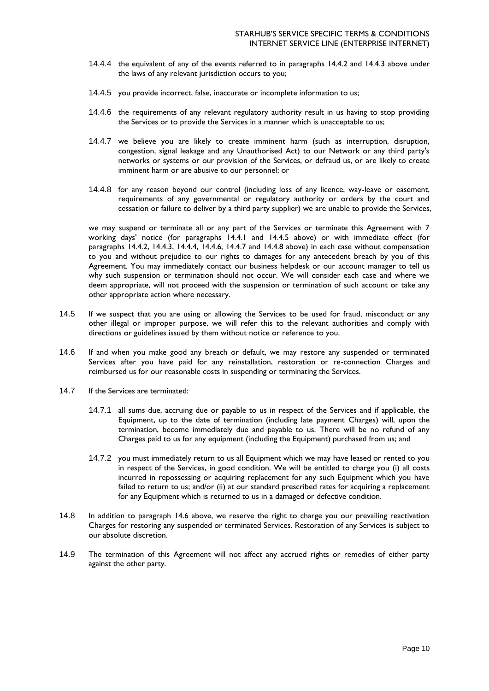- 14.4.4 the equivalent of any of the events referred to in paragraphs 14.4.2 and 14.4.3 above under the laws of any relevant jurisdiction occurs to you;
- 14.4.5 you provide incorrect, false, inaccurate or incomplete information to us;
- 14.4.6 the requirements of any relevant regulatory authority result in us having to stop providing the Services or to provide the Services in a manner which is unacceptable to us;
- 14.4.7 we believe you are likely to create imminent harm (such as interruption, disruption, congestion, signal leakage and any Unauthorised Act) to our Network or any third party's networks or systems or our provision of the Services, or defraud us, or are likely to create imminent harm or are abusive to our personnel; or
- 14.4.8 for any reason beyond our control (including loss of any licence, way-leave or easement, requirements of any governmental or regulatory authority or orders by the court and cessation or failure to deliver by a third party supplier) we are unable to provide the Services,

we may suspend or terminate all or any part of the Services or terminate this Agreement with 7 working days' notice (for paragraphs 14.4.1 and 14.4.5 above) or with immediate effect (for paragraphs 14.4.2, 14.4.3, 14.4.4, 14.4.6, 14.4.7 and 14.4.8 above) in each case without compensation to you and without prejudice to our rights to damages for any antecedent breach by you of this Agreement. You may immediately contact our business helpdesk or our account manager to tell us why such suspension or termination should not occur. We will consider each case and where we deem appropriate, will not proceed with the suspension or termination of such account or take any other appropriate action where necessary.

- 14.5 If we suspect that you are using or allowing the Services to be used for fraud, misconduct or any other illegal or improper purpose, we will refer this to the relevant authorities and comply with directions or guidelines issued by them without notice or reference to you.
- 14.6 If and when you make good any breach or default, we may restore any suspended or terminated Services after you have paid for any reinstallation, restoration or re-connection Charges and reimbursed us for our reasonable costs in suspending or terminating the Services.
- 14.7 If the Services are terminated:
	- 14.7.1 all sums due, accruing due or payable to us in respect of the Services and if applicable, the Equipment, up to the date of termination (including late payment Charges) will, upon the termination, become immediately due and payable to us. There will be no refund of any Charges paid to us for any equipment (including the Equipment) purchased from us; and
	- 14.7.2 you must immediately return to us all Equipment which we may have leased or rented to you in respect of the Services, in good condition. We will be entitled to charge you (i) all costs incurred in repossessing or acquiring replacement for any such Equipment which you have failed to return to us; and/or (ii) at our standard prescribed rates for acquiring a replacement for any Equipment which is returned to us in a damaged or defective condition.
- 14.8 In addition to paragraph 14.6 above, we reserve the right to charge you our prevailing reactivation Charges for restoring any suspended or terminated Services. Restoration of any Services is subject to our absolute discretion.
- 14.9 The termination of this Agreement will not affect any accrued rights or remedies of either party against the other party.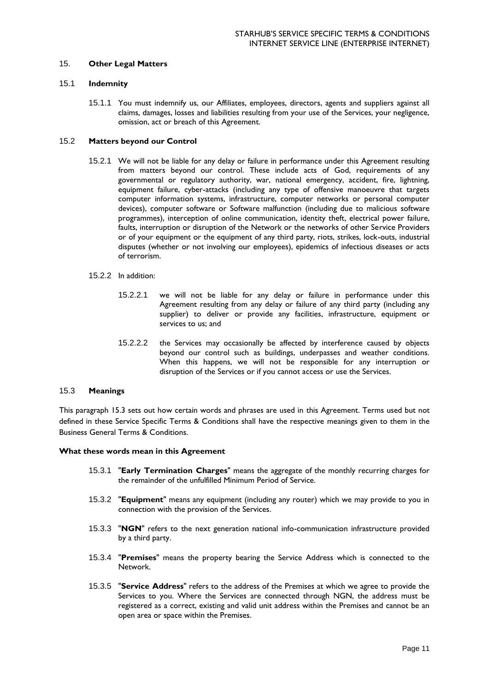### 15. **Other Legal Matters**

#### 15.1 **Indemnity**

15.1.1 You must indemnify us, our Affiliates, employees, directors, agents and suppliers against all claims, damages, losses and liabilities resulting from your use of the Services, your negligence, omission, act or breach of this Agreement.

## 15.2 **Matters beyond our Control**

- 15.2.1 We will not be liable for any delay or failure in performance under this Agreement resulting from matters beyond our control. These include acts of God, requirements of any governmental or regulatory authority, war, national emergency, accident, fire, lightning, equipment failure, cyber-attacks (including any type of offensive manoeuvre that targets computer information systems, infrastructure, computer networks or personal computer devices), computer software or Software malfunction (including due to malicious software programmes), interception of online communication, identity theft, electrical power failure, faults, interruption or disruption of the Network or the networks of other Service Providers or of your equipment or the equipment of any third party, riots, strikes, lock-outs, industrial disputes (whether or not involving our employees), epidemics of infectious diseases or acts of terrorism.
- 15.2.2 In addition:
	- 15.2.2.1 we will not be liable for any delay or failure in performance under this Agreement resulting from any delay or failure of any third party (including any supplier) to deliver or provide any facilities, infrastructure, equipment or services to us; and
	- 15.2.2.2 the Services may occasionally be affected by interference caused by objects beyond our control such as buildings, underpasses and weather conditions. When this happens, we will not be responsible for any interruption or disruption of the Services or if you cannot access or use the Services.

#### 15.3 **Meanings**

This paragraph 15.3 sets out how certain words and phrases are used in this Agreement. Terms used but not defined in these Service Specific Terms & Conditions shall have the respective meanings given to them in the Business General Terms & Conditions.

#### **What these words mean in this Agreement**

- 15.3.1 "**Early Termination Charges**" means the aggregate of the monthly recurring charges for the remainder of the unfulfilled Minimum Period of Service.
- 15.3.2 "**Equipment**" means any equipment (including any router) which we may provide to you in connection with the provision of the Services.
- 15.3.3 "**NGN**" refers to the next generation national info-communication infrastructure provided by a third party.
- 15.3.4 "**Premises**" means the property bearing the Service Address which is connected to the Network.
- 15.3.5 "**Service Address**" refers to the address of the Premises at which we agree to provide the Services to you. Where the Services are connected through NGN, the address must be registered as a correct, existing and valid unit address within the Premises and cannot be an open area or space within the Premises.